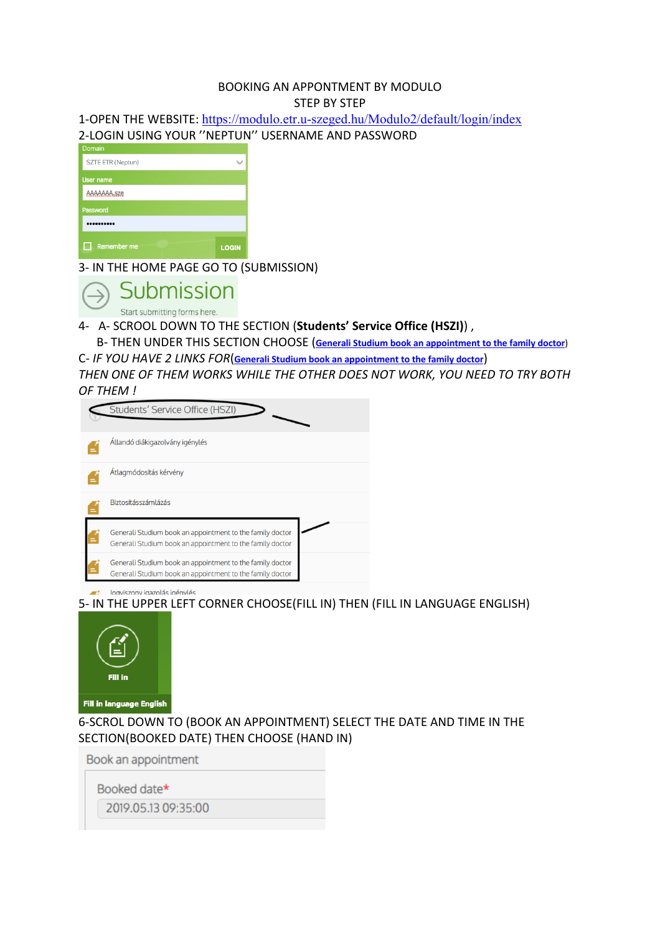#### BOOKING AN APPONTMENT BY MODULO STEP BY STEP

1-OPEN THE WEBSITE: https://modulo.etr.u-szeged.hu/Modulo2/default/login/index 2-LOGIN USING YOUR ''NEPTUN'' USERNAME AND PASSWORD

| -------                  |              |
|--------------------------|--------------|
| <b>SZTE ETR (Neptun)</b> |              |
| User name                |              |
| AAAAAAA.sze              |              |
| Password                 |              |
|                          |              |
| Remember me              | <b>LOGIN</b> |

3- IN THE HOME PAGE GO TO (SUBMISSION)



4- A- SCROOL DOWN TO THE SECTION (**Students' Service Office (HSZI)**) ,

 B- THEN UNDER THIS SECTION CHOOSE (**Generali Studium book an appointment to the family doctor**) C- *IF YOU HAVE 2 LINKS FOR*(**Generali Studium book an appointment to the family doctor**)

*THEN ONE OF THEM WORKS WHILE THE OTHER DOES NOT WORK, YOU NEED TO TRY BOTH OF THEM !*

| Students' Service Office (HSZI)                                                                                        |
|------------------------------------------------------------------------------------------------------------------------|
| Állandó diákigazolvány igénylés                                                                                        |
| Átlagmódosítás kérvény                                                                                                 |
| Biztosításszámlázás                                                                                                    |
| Generali Studium book an appointment to the family doctor<br>Generali Studium book an appointment to the family doctor |
| Generali Studium book an appointment to the family doctor<br>Generali Studium book an appointment to the family doctor |

logyiszony jazzolás jaénylés

5- IN THE UPPER LEFT CORNER CHOOSE(FILL IN) THEN (FILL IN LANGUAGE ENGLISH)



6-SCROL DOWN TO (BOOK AN APPOINTMENT) SELECT THE DATE AND TIME IN THE SECTION(BOOKED DATE) THEN CHOOSE (HAND IN)

Book an appointment

Booked date\*

2019.05.13 09:35:00